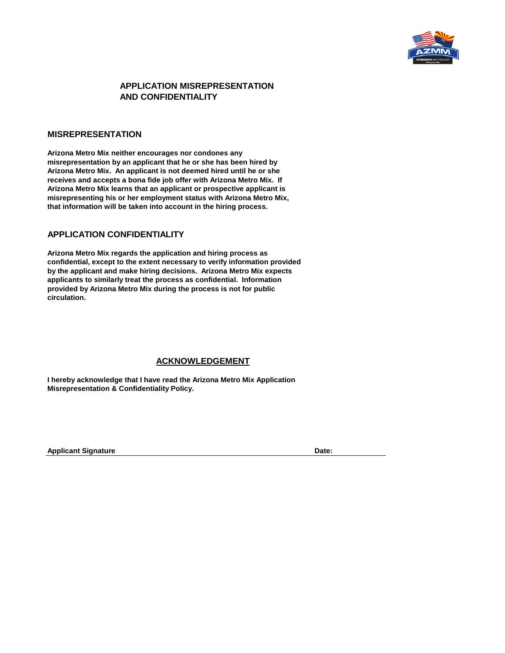

# **APPLICATION MISREPRESENTATION AND CONFIDENTIALITY**

### **MISREPRESENTATION**

**Arizona Metro Mix neither encourages nor condones any misrepresentation by an applicant that he or she has been hired by Arizona Metro Mix. An applicant is not deemed hired until he or she receives and accepts a bona fide job offer with Arizona Metro Mix. If Arizona Metro Mix learns that an applicant or prospective applicant is misrepresenting his or her employment status with Arizona Metro Mix, that information will be taken into account in the hiring process.**

## **APPLICATION CONFIDENTIALITY**

**Arizona Metro Mix regards the application and hiring process as confidential, except to the extent necessary to verify information provided by the applicant and make hiring decisions. Arizona Metro Mix expects applicants to similarly treat the process as confidential. Information provided by Arizona Metro Mix during the process is not for public circulation.**

# **ACKNOWLEDGEMENT**

**I hereby acknowledge that I have read the Arizona Metro Mix Application Misrepresentation & Confidentiality Policy.**

**Applicant Signature Date:**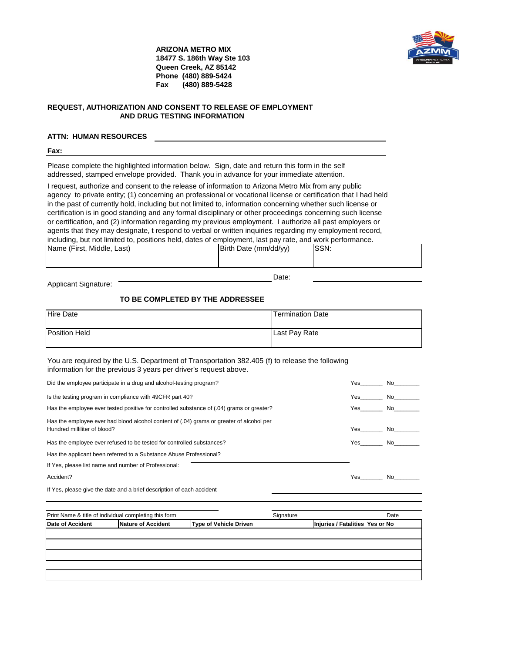

**ARIZONA METRO MIX 18477 S. 186th Way Ste 103 Queen Creek, AZ 85142 Phone (480) 889-5424 Fax (480) 889-5428**

### **REQUEST, AUTHORIZATION AND CONSENT TO RELEASE OF EMPLOYMENT AND DRUG TESTING INFORMATION**

## **ATTN: HUMAN RESOURCES**

#### **Fax:**

Please complete the highlighted information below. Sign, date and return this form in the self addressed, stamped envelope provided. Thank you in advance for your immediate attention.

I request, authorize and consent to the release of information to Arizona Metro Mix from any public agency to private entity; (1) concerning an professional or vocational license or certification that I had held in the past of currently hold, including but not limited to, information concerning whether such license or certification is in good standing and any formal disciplinary or other proceedings concerning such license or certification, and (2) information regarding my previous employment. I authorize all past employers or agents that they may designate, t respond to verbal or written inquiries regarding my employment record, including, but not limited to, positions held, dates of employment, last pay rate, and work performance.

| SSN:<br>Birth Date (mm/dd/yy) |  |
|-------------------------------|--|
|                               |  |
|                               |  |
|                               |  |
|                               |  |

Date:

Applicant Signature:

## **TO BE COMPLETED BY THE ADDRESSEE**

| <b>Hire Date</b>     | <b>Termination Date</b> |
|----------------------|-------------------------|
| <b>Position Held</b> | Last Pay Rate           |

You are required by the U.S. Department of Transportation 382.405 (f) to release the following information for the previous 3 years per driver's request above.

| Did the employee participate in a drug and alcohol-testing program?                                                      | Yes   | No.        |
|--------------------------------------------------------------------------------------------------------------------------|-------|------------|
| Is the testing program in compliance with 49CFR part 40?                                                                 | Yes   | No.        |
| Has the employee ever tested positive for controlled substance of (.04) grams or greater?                                | Yes l | No the set |
| Has the employee ever had blood alcohol content of (.04) grams or greater of alcohol per<br>Hundred milliliter of blood? | Yes   | No.        |
| Has the employee ever refused to be tested for controlled substances?                                                    | Yes   | No.        |
| Has the applicant been referred to a Substance Abuse Professional?                                                       |       |            |
| If Yes, please list name and number of Professional:                                                                     |       |            |
| Accident?                                                                                                                | Yes   | N∩         |
| If Yes, please give the date and a brief description of each accident                                                    |       |            |

| Print Name & title of individual completing this form |                                                     |  | Signature |                                 | Date |
|-------------------------------------------------------|-----------------------------------------------------|--|-----------|---------------------------------|------|
| Date of Accident                                      | Nature of Accident<br><b>Type of Vehicle Driven</b> |  |           | Injuries / Fatalities Yes or No |      |
|                                                       |                                                     |  |           |                                 |      |
|                                                       |                                                     |  |           |                                 |      |
|                                                       |                                                     |  |           |                                 |      |
|                                                       |                                                     |  |           |                                 |      |
|                                                       |                                                     |  |           |                                 |      |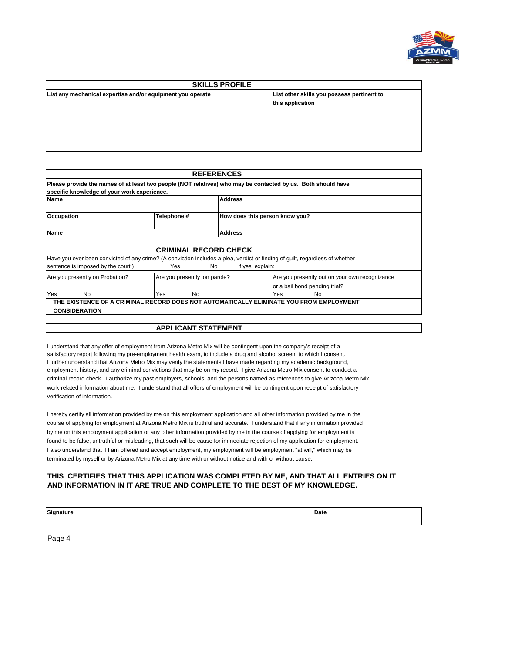

| <b>SKILLS PROFILE</b>                                      |                                                                |  |  |  |  |
|------------------------------------------------------------|----------------------------------------------------------------|--|--|--|--|
| List any mechanical expertise and/or equipment you operate | List other skills you possess pertinent to<br>this application |  |  |  |  |
|                                                            |                                                                |  |  |  |  |

|                                                             |                              | <b>REFERENCES</b> |                                                                                                                              |  |  |  |
|-------------------------------------------------------------|------------------------------|-------------------|------------------------------------------------------------------------------------------------------------------------------|--|--|--|
| specific knowledge of your work experience.                 |                              |                   | Please provide the names of at least two people (NOT relatives) who may be contacted by us. Both should have                 |  |  |  |
| <b>Name</b>                                                 | <b>Address</b>               |                   |                                                                                                                              |  |  |  |
| Telephone #<br>Occupation<br>How does this person know you? |                              |                   |                                                                                                                              |  |  |  |
| <b>Name</b>                                                 | <b>Address</b>               |                   |                                                                                                                              |  |  |  |
|                                                             | <b>CRIMINAL RECORD CHECK</b> |                   |                                                                                                                              |  |  |  |
|                                                             |                              |                   | Have you ever been convicted of any crime? (A conviction includes a plea, verdict or finding of quilt, regardless of whether |  |  |  |
| sentence is imposed by the court.)                          | Yes                          | No                | If yes, explain:                                                                                                             |  |  |  |
| Are you presently on Probation?                             | Are you presently on parole? |                   | Are you presently out on your own recognizance                                                                               |  |  |  |
| or a bail bond pending trial?                               |                              |                   |                                                                                                                              |  |  |  |
| Yes<br>No.                                                  | No<br>Yes                    |                   | Yes<br>No                                                                                                                    |  |  |  |
|                                                             |                              |                   | THE EXISTENCE OF A CRIMINAL RECORD DOES NOT AUTOMATICALLY ELIMINATE YOU FROM EMPLOYMENT                                      |  |  |  |
| <b>CONSIDERATION</b>                                        |                              |                   |                                                                                                                              |  |  |  |

### **APPLICANT STATEMENT**

I understand that any offer of employment from Arizona Metro Mix will be contingent upon the company's receipt of a satisfactory report following my pre-employment health exam, to include a drug and alcohol screen, to which I consent. I further understand that Arizona Metro Mix may verify the statements I have made regarding my academic background, employment history, and any criminal convictions that may be on my record. I give Arizona Metro Mix consent to conduct a criminal record check. I authorize my past employers, schools, and the persons named as references to give Arizona Metro Mix work-related information about me. I understand that all offers of employment will be contingent upon receipt of satisfactory verification of information.

I hereby certify all information provided by me on this employment application and all other information provided by me in the course of applying for employment at Arizona Metro Mix is truthful and accurate. I understand that if any information provided by me on this employment application or any other information provided by me in the course of applying for employment is found to be false, untruthful or misleading, that such will be cause for immediate rejection of my application for employment. I also understand that if I am offered and accept employment, my employment will be employment "at will," which may be terminated by myself or by Arizona Metro Mix at any time with or without notice and with or without cause.

## **THIS CERTIFIES THAT THIS APPLICATION WAS COMPLETED BY ME, AND THAT ALL ENTRIES ON IT AND INFORMATION IN IT ARE TRUE AND COMPLETE TO THE BEST OF MY KNOWLEDGE.**

| Signature | <b>Date</b> |
|-----------|-------------|
|           |             |

Page 4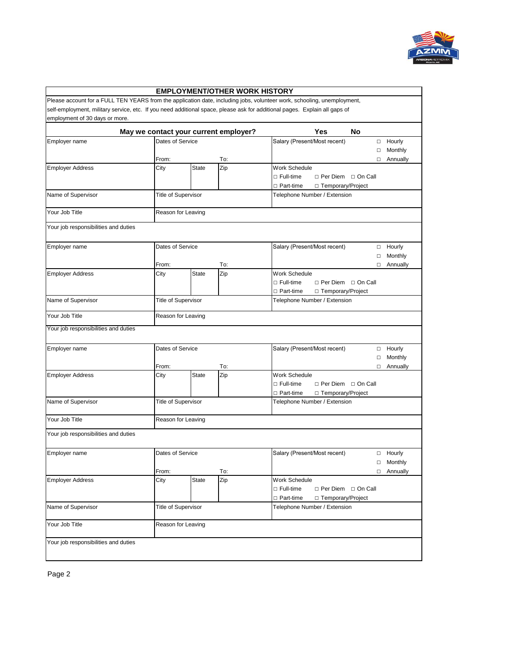

|                                                                                                                            |                            |                    | <b>EMPLOYMENT/OTHER WORK HISTORY</b>  |                                                                                                                         |                    |
|----------------------------------------------------------------------------------------------------------------------------|----------------------------|--------------------|---------------------------------------|-------------------------------------------------------------------------------------------------------------------------|--------------------|
|                                                                                                                            |                            |                    |                                       | Please account for a FULL TEN YEARS from the application date, including jobs, volunteer work, schooling, unemployment, |                    |
| self-employment, military service, etc. If you need additional space, please ask for additional pages. Explain all gaps of |                            |                    |                                       |                                                                                                                         |                    |
| employment of 30 days or more.                                                                                             |                            |                    |                                       |                                                                                                                         |                    |
|                                                                                                                            |                            |                    | May we contact your current employer? | <b>Yes</b><br><b>No</b>                                                                                                 |                    |
| Employer name                                                                                                              | Dates of Service           |                    |                                       | Salary (Present/Most recent)                                                                                            | Hourly<br>$\Box$   |
|                                                                                                                            |                            |                    |                                       |                                                                                                                         | Monthly<br>□       |
|                                                                                                                            | From:                      |                    | To:                                   |                                                                                                                         | Annually<br>□      |
| <b>Employer Address</b>                                                                                                    | City                       | <b>State</b>       | Zip                                   | Work Schedule                                                                                                           |                    |
|                                                                                                                            |                            |                    |                                       | □ Per Diem □ On Call<br>$\Box$ Full-time                                                                                |                    |
|                                                                                                                            |                            |                    |                                       | □ Part-time<br>□ Temporary/Project                                                                                      |                    |
| Name of Supervisor                                                                                                         | Title of Supervisor        |                    |                                       | Telephone Number / Extension                                                                                            |                    |
| Your Job Title                                                                                                             | Reason for Leaving         |                    |                                       |                                                                                                                         |                    |
| Your job responsibilities and duties                                                                                       |                            |                    |                                       |                                                                                                                         |                    |
| Employer name                                                                                                              | Dates of Service           |                    |                                       | Salary (Present/Most recent)                                                                                            | Hourly<br>$\Box$   |
|                                                                                                                            |                            |                    |                                       |                                                                                                                         | Monthly<br>□       |
|                                                                                                                            | From:                      |                    | To:                                   |                                                                                                                         | Annually<br>$\Box$ |
| <b>Employer Address</b>                                                                                                    | City                       | <b>State</b>       | Zip                                   | Work Schedule                                                                                                           |                    |
|                                                                                                                            |                            |                    |                                       | □ Full-time<br>□ Per Diem □ On Call                                                                                     |                    |
|                                                                                                                            |                            |                    |                                       | □ Part-time<br>□ Temporary/Project                                                                                      |                    |
| Name of Supervisor                                                                                                         | Title of Supervisor        |                    |                                       | Telephone Number / Extension                                                                                            |                    |
| Your Job Title                                                                                                             |                            | Reason for Leaving |                                       |                                                                                                                         |                    |
| Your job responsibilities and duties                                                                                       |                            |                    |                                       |                                                                                                                         |                    |
|                                                                                                                            |                            |                    |                                       |                                                                                                                         |                    |
| Employer name                                                                                                              | Dates of Service           |                    |                                       | Salary (Present/Most recent)                                                                                            | Hourly<br>$\Box$   |
|                                                                                                                            |                            |                    |                                       |                                                                                                                         | Monthly<br>□       |
|                                                                                                                            | From:                      |                    | To:                                   |                                                                                                                         | Annually<br>$\Box$ |
| <b>Employer Address</b>                                                                                                    | City                       | <b>State</b>       | Zip                                   | <b>Work Schedule</b>                                                                                                    |                    |
|                                                                                                                            |                            |                    |                                       | $\Box$ Full-time<br>□ Per Diem □ On Call                                                                                |                    |
|                                                                                                                            |                            |                    |                                       | □ Part-time<br>□ Temporary/Project                                                                                      |                    |
| Name of Supervisor                                                                                                         | Title of Supervisor        |                    |                                       | Telephone Number / Extension                                                                                            |                    |
| Your Job Title                                                                                                             | Reason for Leaving         |                    |                                       |                                                                                                                         |                    |
|                                                                                                                            |                            |                    |                                       |                                                                                                                         |                    |
| Your job responsibilities and duties                                                                                       |                            |                    |                                       |                                                                                                                         |                    |
| Employer name                                                                                                              | Dates of Service           |                    |                                       | Salary (Present/Most recent)                                                                                            | Hourly<br>$\Box$   |
|                                                                                                                            |                            |                    |                                       |                                                                                                                         | □ Monthly          |
|                                                                                                                            | From:                      |                    | To:                                   |                                                                                                                         | □ Annually         |
| <b>Employer Address</b>                                                                                                    | City                       | State              | Zip                                   | <b>Work Schedule</b>                                                                                                    |                    |
|                                                                                                                            |                            |                    |                                       | $\Box$ Full-time<br>D Per Diem D On Call                                                                                |                    |
|                                                                                                                            |                            |                    |                                       | □ Part-time<br>□ Temporary/Project                                                                                      |                    |
| Name of Supervisor                                                                                                         | <b>Title of Supervisor</b> |                    |                                       | Telephone Number / Extension                                                                                            |                    |
| Your Job Title                                                                                                             | Reason for Leaving         |                    |                                       |                                                                                                                         |                    |
|                                                                                                                            |                            |                    |                                       |                                                                                                                         |                    |
| Your job responsibilities and duties                                                                                       |                            |                    |                                       |                                                                                                                         |                    |
|                                                                                                                            |                            |                    |                                       |                                                                                                                         |                    |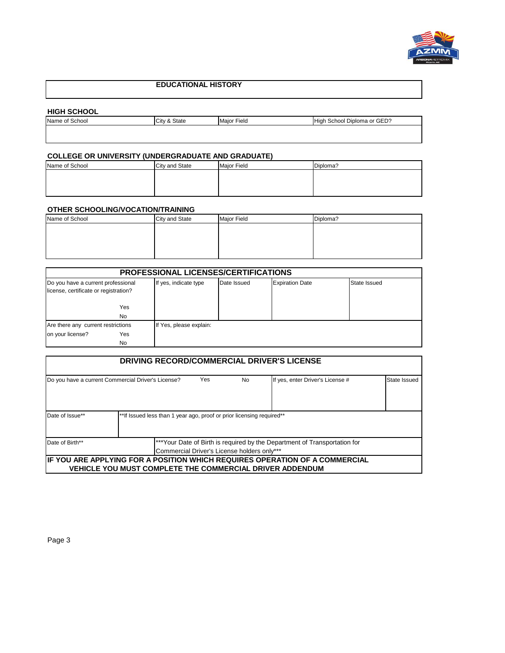

# **EDUCATIONAL HISTORY**

## **HIGH SCHOOL**

| ---------------                   |  |                |                                         |
|-----------------------------------|--|----------------|-----------------------------------------|
| City<br>Name of School<br>& State |  | Fiela<br>Maior | School Diploma or GED?<br><b>i</b> High |
|                                   |  |                |                                         |

# **COLLEGE OR UNIVERSITY (UNDERGRADUATE AND GRADUATE)**

| Name of School | City and State | <b>Major Field</b> | Diploma? |
|----------------|----------------|--------------------|----------|
|                |                |                    |          |
|                |                |                    |          |
|                |                |                    |          |

# **OTHER SCHOOLING/VOCATION/TRAINING**

| Name of School | City and State | <b>Major Field</b> | Diploma? |
|----------------|----------------|--------------------|----------|
|                |                |                    |          |
|                |                |                    |          |
|                |                |                    |          |
|                |                |                    |          |

| <b>PROFESSIONAL LICENSES/CERTIFICATIONS</b> |                         |             |                        |              |  |
|---------------------------------------------|-------------------------|-------------|------------------------|--------------|--|
| Do you have a current professional          | If yes, indicate type   | Date Issued | <b>Expiration Date</b> | State Issued |  |
| license, certificate or registration?       |                         |             |                        |              |  |
|                                             |                         |             |                        |              |  |
| Yes                                         |                         |             |                        |              |  |
| <b>No</b>                                   |                         |             |                        |              |  |
| Are there any current restrictions          | If Yes, please explain: |             |                        |              |  |
| on your license?<br>Yes                     |                         |             |                        |              |  |
| No                                          |                         |             |                        |              |  |

| <b>DRIVING RECORD/COMMERCIAL DRIVER'S LICENSE</b>                                                                                           |                                                                       |     |           |                                                                              |              |  |  |
|---------------------------------------------------------------------------------------------------------------------------------------------|-----------------------------------------------------------------------|-----|-----------|------------------------------------------------------------------------------|--------------|--|--|
|                                                                                                                                             | Do you have a current Commercial Driver's License?                    | Yes | <b>No</b> | If yes, enter Driver's License #                                             | State Issued |  |  |
| Date of Issue**                                                                                                                             | **If Issued less than 1 year ago, proof or prior licensing required** |     |           |                                                                              |              |  |  |
| ***Your Date of Birth is required by the Department of Transportation for<br>Date of Birth**<br>Commercial Driver's License holders only*** |                                                                       |     |           |                                                                              |              |  |  |
|                                                                                                                                             | <b>VEHICLE YOU MUST COMPLETE THE COMMERCIAL DRIVER ADDENDUM</b>       |     |           | IIF YOU ARE APPLYING FOR A POSITION WHICH REQUIRES OPERATION OF A COMMERCIAL |              |  |  |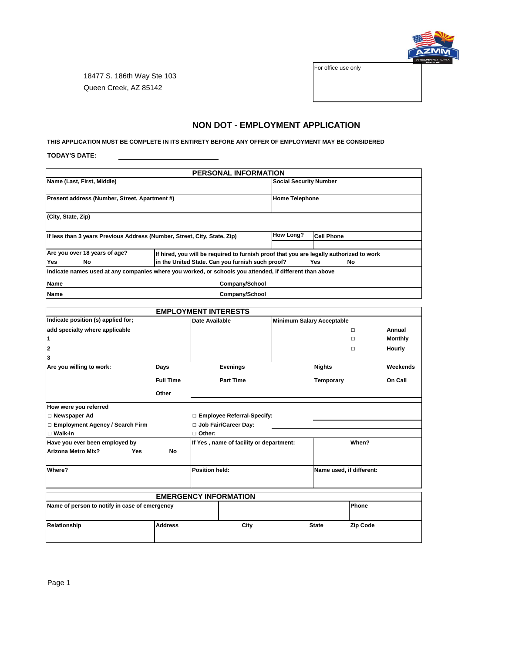

For office use only

18477 S. 186th Way Ste 103 Queen Creek, AZ 85142

# **NON DOT - EMPLOYMENT APPLICATION**

**THIS APPLICATION MUST BE COMPLETE IN ITS ENTIRETY BEFORE ANY OFFER OF EMPLOYMENT MAY BE CONSIDERED**

**TODAY'S DATE:**

| <b>PERSONAL INFORMATION</b>                                                                                                                                                                                    |                                                                                                         |                  |                               |  |  |  |  |
|----------------------------------------------------------------------------------------------------------------------------------------------------------------------------------------------------------------|---------------------------------------------------------------------------------------------------------|------------------|-------------------------------|--|--|--|--|
| Name (Last, First, Middle)                                                                                                                                                                                     |                                                                                                         |                  | <b>Social Security Number</b> |  |  |  |  |
| Present address (Number, Street, Apartment #)                                                                                                                                                                  |                                                                                                         |                  | <b>Home Telephone</b>         |  |  |  |  |
| (City, State, Zip)                                                                                                                                                                                             |                                                                                                         |                  |                               |  |  |  |  |
|                                                                                                                                                                                                                | If less than 3 years Previous Address (Number, Street, City, State, Zip)                                | <b>How Long?</b> | <b>Cell Phone</b>             |  |  |  |  |
| Are you over 18 years of age?<br>If hired, you will be required to furnish proof that you are legally authorized to work<br>in the United State. Can you furnish such proof?<br><b>Yes</b><br>No<br>Yes.<br>No |                                                                                                         |                  |                               |  |  |  |  |
|                                                                                                                                                                                                                | Indicate names used at any companies where you worked, or schools you attended, if different than above |                  |                               |  |  |  |  |
| <b>Name</b>                                                                                                                                                                                                    | Company/School                                                                                          |                  |                               |  |  |  |  |
| Company/School<br>Name                                                                                                                                                                                         |                                                                                                         |                  |                               |  |  |  |  |

|                                               | <b>EMPLOYMENT INTERESTS</b> |                                         |                              |                                  |               |                 |                |
|-----------------------------------------------|-----------------------------|-----------------------------------------|------------------------------|----------------------------------|---------------|-----------------|----------------|
| Indicate position (s) applied for;            |                             |                                         | Date Available               | <b>Minimum Salary Acceptable</b> |               |                 |                |
| add specialty where applicable                |                             |                                         |                              |                                  |               | $\Box$          | Annual         |
| 1                                             |                             |                                         |                              |                                  |               | п               | <b>Monthly</b> |
| 2                                             |                             |                                         |                              |                                  |               | п               | Hourly         |
| 3                                             |                             |                                         |                              |                                  |               |                 |                |
| Are you willing to work:                      | Days                        |                                         | <b>Evenings</b>              |                                  | <b>Nights</b> |                 | Weekends       |
|                                               | <b>Full Time</b>            |                                         | <b>Part Time</b>             |                                  | Temporary     |                 | On Call        |
|                                               | Other                       |                                         |                              |                                  |               |                 |                |
| How were you referred                         |                             |                                         |                              |                                  |               |                 |                |
| □ Newspaper Ad                                |                             |                                         | □ Employee Referral-Specify: |                                  |               |                 |                |
| □ Employment Agency / Search Firm             |                             | Job Fair/Career Day:                    |                              |                                  |               |                 |                |
| $\Box$ Walk-in                                |                             | □ Other:                                |                              |                                  |               |                 |                |
| Have you ever been employed by                |                             | If Yes, name of facility or department: |                              |                                  | When?         |                 |                |
| <b>Arizona Metro Mix?</b><br>Yes              | <b>No</b>                   |                                         |                              |                                  |               |                 |                |
| Where?                                        |                             | Position held:                          |                              | Name used, if different:         |               |                 |                |
|                                               |                             |                                         |                              |                                  |               |                 |                |
|                                               |                             |                                         |                              |                                  |               |                 |                |
|                                               |                             |                                         | <b>EMERGENCY INFORMATION</b> |                                  |               |                 |                |
| Name of person to notify in case of emergency |                             |                                         |                              |                                  |               | Phone           |                |
| Relationship                                  | <b>Address</b>              |                                         | City                         |                                  | <b>State</b>  | <b>Zip Code</b> |                |
|                                               |                             |                                         |                              |                                  |               |                 |                |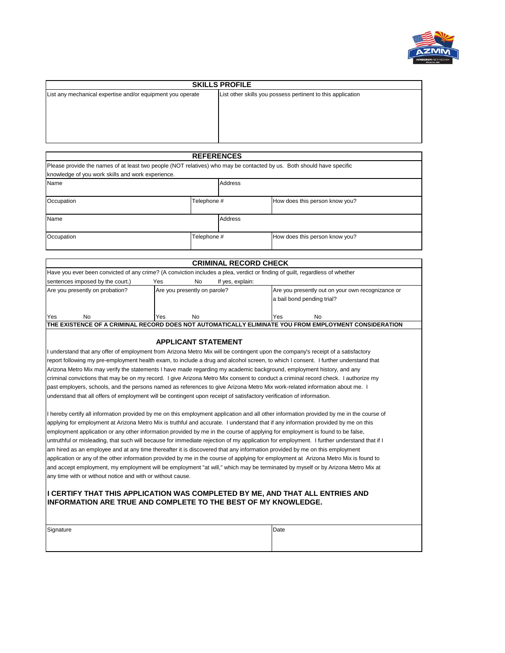

| <b>SKILLS PROFILE</b>                                      |                                                             |  |  |  |  |
|------------------------------------------------------------|-------------------------------------------------------------|--|--|--|--|
| List any mechanical expertise and/or equipment you operate | List other skills you possess pertinent to this application |  |  |  |  |
|                                                            |                                                             |  |  |  |  |
|                                                            |                                                             |  |  |  |  |
|                                                            |                                                             |  |  |  |  |
|                                                            |                                                             |  |  |  |  |
|                                                            |                                                             |  |  |  |  |

| <b>REFERENCES</b>                                                                                                     |             |                |                                |  |  |  |
|-----------------------------------------------------------------------------------------------------------------------|-------------|----------------|--------------------------------|--|--|--|
| Please provide the names of at least two people (NOT relatives) who may be contacted by us. Both should have specific |             |                |                                |  |  |  |
| knowledge of you work skills and work experience.                                                                     |             |                |                                |  |  |  |
| Name                                                                                                                  |             | <b>Address</b> |                                |  |  |  |
| Occupation                                                                                                            | Telephone # |                | How does this person know you? |  |  |  |
| Name                                                                                                                  |             | <b>Address</b> |                                |  |  |  |
| Occupation                                                                                                            | Telephone # |                | How does this person know you? |  |  |  |

| <b>CRIMINAL RECORD CHECK</b>                                                                                                 |                              |    |  |                            |    |                                                   |
|------------------------------------------------------------------------------------------------------------------------------|------------------------------|----|--|----------------------------|----|---------------------------------------------------|
| Have you ever been convicted of any crime? (A conviction includes a plea, verdict or finding of guilt, regardless of whether |                              |    |  |                            |    |                                                   |
| sentences imposed by the court.)<br>Yes<br>If yes, explain:<br>No                                                            |                              |    |  |                            |    |                                                   |
| Are you presently on probation?                                                                                              | Are you presently on parole? |    |  | a bail bond pending trial? |    | Are you presently out on your own recognizance or |
| Yes<br>No                                                                                                                    | Yes                          | No |  | Yes                        | No |                                                   |
| ITHE EXISTENCE OF A CRIMINAL RECORD DOES NOT AUTOMATICALLY ELIMINATE YOU FROM EMPLOYMENT CONSIDERATION                       |                              |    |  |                            |    |                                                   |

### **APPLICANT STATEMENT**

I understand that any offer of employment from Arizona Metro Mix will be contingent upon the company's receipt of a satisfactory report following my pre-employment health exam, to include a drug and alcohol screen, to which I consent. I further understand that Arizona Metro Mix may verify the statements I have made regarding my academic background, employment history, and any criminal convictions that may be on my record. I give Arizona Metro Mix consent to conduct a criminal record check. I authorize my past employers, schools, and the persons named as references to give Arizona Metro Mix work-related information about me. I understand that all offers of employment will be contingent upon receipt of satisfactory verification of information.

I hereby certify all information provided by me on this employment application and all other information provided by me in the course of applying for employment at Arizona Metro Mix is truthful and accurate. I understand that if any information provided by me on this employment application or any other information provided by me in the course of applying for employment is found to be false, untruthful or misleading, that such will because for immediate rejection of my application for employment. I further understand that if I am hired as an employee and at any time thereafter it is discovered that any information provided by me on this employment application or any of the other information provided by me in the course of applying for employment at Arizona Metro Mix is found to and accept employment, my employment will be employment "at will," which may be terminated by myself or by Arizona Metro Mix at any time with or without notice and with or without cause.

### **I CERTIFY THAT THIS APPLICATION WAS COMPLETED BY ME, AND THAT ALL ENTRIES AND INFORMATION ARE TRUE AND COMPLETE TO THE BEST OF MY KNOWLEDGE.**

| Signature |  | Date |
|-----------|--|------|
|-----------|--|------|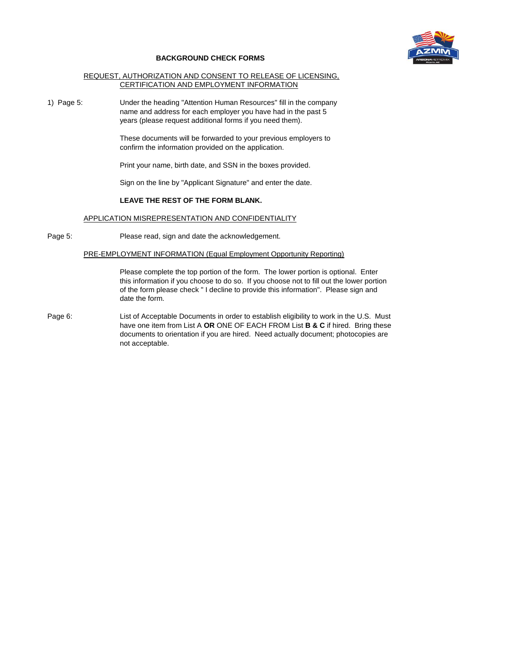

#### **BACKGROUND CHECK FORMS**

### REQUEST, AUTHORIZATION AND CONSENT TO RELEASE OF LICENSING, CERTIFICATION AND EMPLOYMENT INFORMATION

1) Page 5: Under the heading "Attention Human Resources" fill in the company name and address for each employer you have had in the past 5 years (please request additional forms if you need them).

> These documents will be forwarded to your previous employers to confirm the information provided on the application.

Print your name, birth date, and SSN in the boxes provided.

Sign on the line by "Applicant Signature" and enter the date.

## **LEAVE THE REST OF THE FORM BLANK.**

### APPLICATION MISREPRESENTATION AND CONFIDENTIALITY

Page 5: Please read, sign and date the acknowledgement.

### PRE-EMPLOYMENT INFORMATION (Equal Employment Opportunity Reporting)

Please complete the top portion of the form. The lower portion is optional. Enter this information if you choose to do so. If you choose not to fill out the lower portion of the form please check " I decline to provide this information". Please sign and date the form.

Page 6: List of Acceptable Documents in order to establish eligibility to work in the U.S. Must have one item from List A **OR** ONE OF EACH FROM List **B & C** if hired. Bring these documents to orientation if you are hired. Need actually document; photocopies are not acceptable.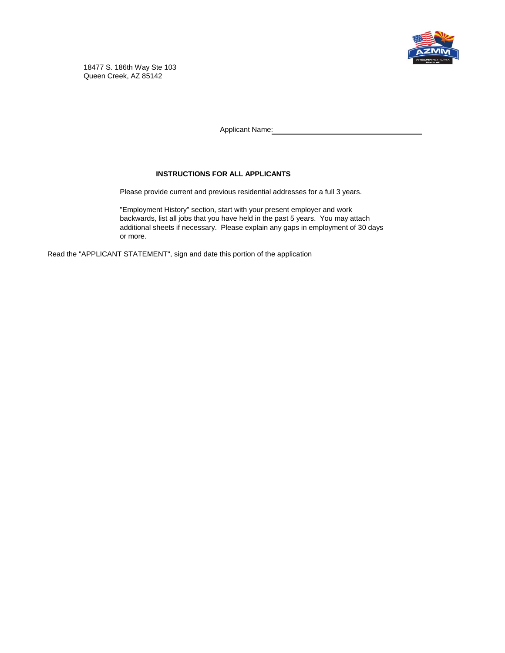

18477 S. 186th Way Ste 103 Queen Creek, AZ 85142

Applicant Name:

## **INSTRUCTIONS FOR ALL APPLICANTS**

Please provide current and previous residential addresses for a full 3 years.

"Employment History" section, start with your present employer and work backwards, list all jobs that you have held in the past 5 years. You may attach additional sheets if necessary. Please explain any gaps in employment of 30 days or more.

Read the "APPLICANT STATEMENT", sign and date this portion of the application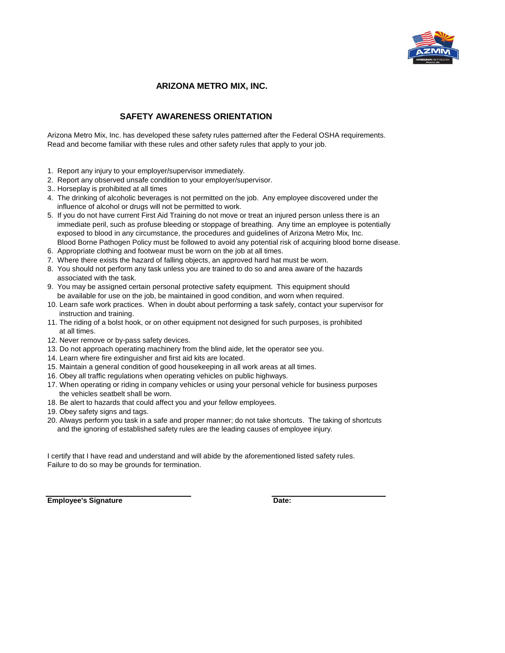

# **ARIZONA METRO MIX, INC.**

# **SAFETY AWARENESS ORIENTATION**

Arizona Metro Mix, Inc. has developed these safety rules patterned after the Federal OSHA requirements. Read and become familiar with these rules and other safety rules that apply to your job.

- 1. Report any injury to your employer/supervisor immediately.
- 2. Report any observed unsafe condition to your employer/supervisor.
- 3.. Horseplay is prohibited at all times
- 4. The drinking of alcoholic beverages is not permitted on the job. Any employee discovered under the influence of alcohol or drugs will not be permitted to work.
- 5. If you do not have current First Aid Training do not move or treat an injured person unless there is an immediate peril, such as profuse bleeding or stoppage of breathing. Any time an employee is potentially exposed to blood in any circumstance, the procedures and guidelines of Arizona Metro Mix, Inc. Blood Borne Pathogen Policy must be followed to avoid any potential risk of acquiring blood borne disease.
- 6. Appropriate clothing and footwear must be worn on the job at all times.
- 7. Where there exists the hazard of falling objects, an approved hard hat must be worn.
- 8. You should not perform any task unless you are trained to do so and area aware of the hazards associated with the task.
- 9. You may be assigned certain personal protective safety equipment. This equipment should be available for use on the job, be maintained in good condition, and worn when required.
- 10. Learn safe work practices. When in doubt about performing a task safely, contact your supervisor for instruction and training.
- 11. The riding of a bolst hook, or on other equipment not designed for such purposes, is prohibited at all times.
- 12. Never remove or by-pass safety devices.
- 13. Do not approach operating machinery from the blind aide, let the operator see you.
- 14. Learn where fire extinguisher and first aid kits are located.
- 15. Maintain a general condition of good housekeeping in all work areas at all times.
- 16. Obey all traffic regulations when operating vehicles on public highways.
- 17. When operating or riding in company vehicles or using your personal vehicle for business purposes the vehicles seatbelt shall be worn.
- 18. Be alert to hazards that could affect you and your fellow employees.
- 19. Obey safety signs and tags.
- 20. Always perform you task in a safe and proper manner; do not take shortcuts. The taking of shortcuts and the ignoring of established safety rules are the leading causes of employee injury.

I certify that I have read and understand and will abide by the aforementioned listed safety rules. Failure to do so may be grounds for termination.

**Employee's Signature Date: Date: Date:**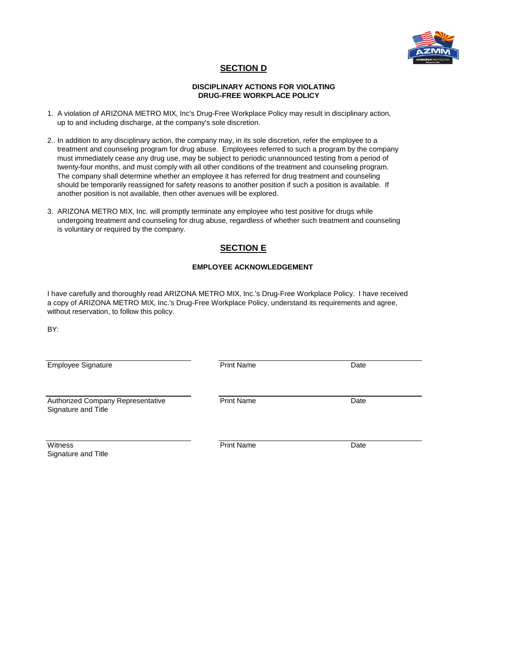

# **SECTION D**

### **DISCIPLINARY ACTIONS FOR VIOLATING DRUG-FREE WORKPLACE POLICY**

- 1. A violation of ARIZONA METRO MIX, Inc's Drug-Free Workplace Policy may result in disciplinary action, up to and including discharge, at the company's sole discretion.
- 2.. In addition to any disciplinary action, the company may, in its sole discretion, refer the employee to a treatment and counseling program for drug abuse. Employees referred to such a program by the company must immediately cease any drug use, may be subject to periodic unannounced testing from a period of twenty-four months, and must comply with all other conditions of the treatment and counseling program. The company shall determine whether an employee it has referred for drug treatment and counseling should be temporarily reassigned for safety reasons to another position if such a position is available. If another position is not available, then other avenues will be explored.
- 3. ARIZONA METRO MIX, Inc. will promptly terminate any employee who test positive for drugs while undergoing treatment and counseling for drug abuse, regardless of whether such treatment and counseling is voluntary or required by the company.

# **SECTION E**

## **EMPLOYEE ACKNOWLEDGEMENT**

I have carefully and thoroughly read ARIZONA METRO MIX, Inc.'s Drug-Free Workplace Policy. I have received a copy of ARIZONA METRO MIX, Inc.'s Drug-Free Workplace Policy, understand its requirements and agree, without reservation, to follow this policy.

BY:

| <b>Employee Signature</b>                                | <b>Print Name</b> | Date |
|----------------------------------------------------------|-------------------|------|
| Authorized Company Representative<br>Signature and Title | <b>Print Name</b> | Date |
| Witness                                                  | <b>Print Name</b> | Date |

Signature and Title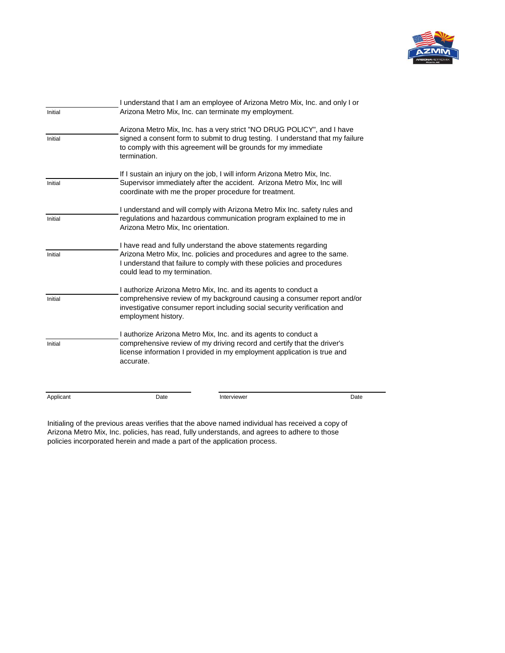

| Initial   | I understand that I am an employee of Arizona Metro Mix, Inc. and only I or<br>Arizona Metro Mix, Inc. can terminate my employment. |                                                                                                                                                                                                                           |      |  |  |
|-----------|-------------------------------------------------------------------------------------------------------------------------------------|---------------------------------------------------------------------------------------------------------------------------------------------------------------------------------------------------------------------------|------|--|--|
| Initial   | termination.                                                                                                                        | Arizona Metro Mix, Inc. has a very strict "NO DRUG POLICY", and I have<br>signed a consent form to submit to drug testing. I understand that my failure<br>to comply with this agreement will be grounds for my immediate |      |  |  |
| Initial   |                                                                                                                                     | If I sustain an injury on the job, I will inform Arizona Metro Mix, Inc.<br>Supervisor immediately after the accident. Arizona Metro Mix, Inc will<br>coordinate with me the proper procedure for treatment.              |      |  |  |
| Initial   | Arizona Metro Mix, Inc orientation.                                                                                                 | I understand and will comply with Arizona Metro Mix Inc. safety rules and<br>regulations and hazardous communication program explained to me in                                                                           |      |  |  |
| Initial   | could lead to my termination.                                                                                                       | I have read and fully understand the above statements regarding<br>Arizona Metro Mix, Inc. policies and procedures and agree to the same.<br>I understand that failure to comply with these policies and procedures       |      |  |  |
| Initial   | employment history.                                                                                                                 | I authorize Arizona Metro Mix, Inc. and its agents to conduct a<br>comprehensive review of my background causing a consumer report and/or<br>investigative consumer report including social security verification and     |      |  |  |
| Initial   | accurate.                                                                                                                           | I authorize Arizona Metro Mix, Inc. and its agents to conduct a<br>comprehensive review of my driving record and certify that the driver's<br>license information I provided in my employment application is true and     |      |  |  |
| Applicant | Date                                                                                                                                | Interviewer                                                                                                                                                                                                               | Date |  |  |

Initialing of the previous areas verifies that the above named individual has received a copy of Arizona Metro Mix, Inc. policies, has read, fully understands, and agrees to adhere to those policies incorporated herein and made a part of the application process.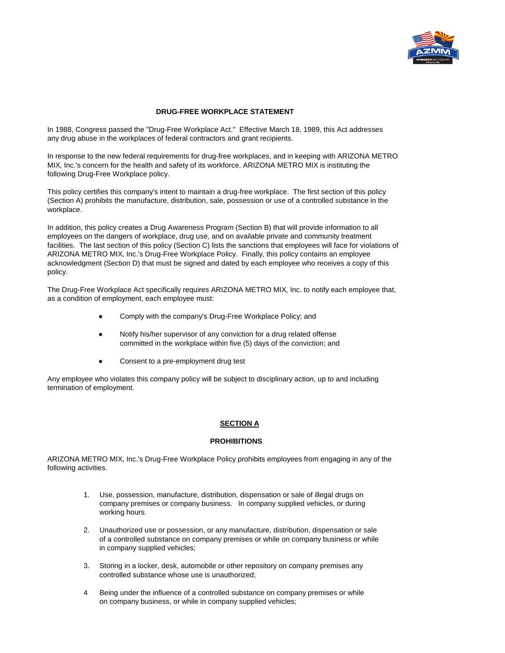

## **DRUG-FREE WORKPLACE STATEMENT**

In 1988, Congress passed the "Drug-Free Workplace Act." Effective March 18, 1989, this Act addresses any drug abuse in the workplaces of federal contractors and grant recipients.

In response to the new federal requirements for drug-free workplaces, and in keeping with ARIZONA METRO MIX, Inc.'s concern for the health and safety of its workforce, ARIZONA METRO MIX is instituting the following Drug-Free Workplace policy.

This policy certifies this company's intent to maintain a drug-free workplace. The first section of this policy (Section A) prohibits the manufacture, distribution, sale, possession or use of a controlled substance in the workplace.

In addition, this policy creates a Drug Awareness Program (Section B) that will provide information to all employees on the dangers of workplace, drug use, and on available private and community treatment facilities. The last section of this policy (Section C) lists the sanctions that employees will face for violations of ARIZONA METRO MIX, Inc.'s Drug-Free Workplace Policy. Finally, this policy contains an employee acknowledgment (Section D) that must be signed and dated by each employee who receives a copy of this policy.

The Drug-Free Workplace Act specifically requires ARIZONA METRO MIX, Inc. to notify each employee that, as a condition of employment, each employee must:

- Comply with the company's Drug-Free Workplace Policy; and
- Notify his/her supervisor of any conviction for a drug related offense committed in the workplace within five (5) days of the conviction; and
- Consent to a pre-employment drug test

Any employee who violates this company policy will be subject to disciplinary action, up to and including termination of employment.

## **SECTION A**

### **PROHIBITIONS**

ARIZONA METRO MIX, Inc.'s Drug-Free Workplace Policy prohibits employees from engaging in any of the following activities.

- 1. Use, possession, manufacture, distribution, dispensation or sale of illegal drugs on company premises or company business. In company supplied vehicles, or during working hours.
- 2. Unauthorized use or possession, or any manufacture, distribution, dispensation or sale of a controlled substance on company premises or while on company business or while in company supplied vehicles;
- 3. Storing in a locker, desk, automobile or other repository on company premises any controlled substance whose use is unauthorized;
- 4 Being under the influence of a controlled substance on company premises or while on company business, or while in company supplied vehicles;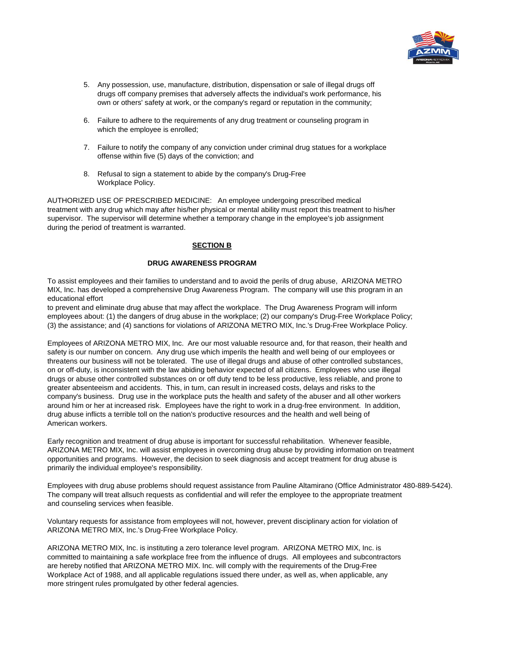

- 5. Any possession, use, manufacture, distribution, dispensation or sale of illegal drugs off drugs off company premises that adversely affects the individual's work performance, his own or others' safety at work, or the company's regard or reputation in the community;
- 6. Failure to adhere to the requirements of any drug treatment or counseling program in which the employee is enrolled;
- 7. Failure to notify the company of any conviction under criminal drug statues for a workplace offense within five (5) days of the conviction; and
- 8. Refusal to sign a statement to abide by the company's Drug-Free Workplace Policy.

AUTHORIZED USE OF PRESCRIBED MEDICINE: An employee undergoing prescribed medical treatment with any drug which may after his/her physical or mental ability must report this treatment to his/her supervisor. The supervisor will determine whether a temporary change in the employee's job assignment during the period of treatment is warranted.

## **SECTION B**

### **DRUG AWARENESS PROGRAM**

To assist employees and their families to understand and to avoid the perils of drug abuse, ARIZONA METRO MIX, Inc. has developed a comprehensive Drug Awareness Program. The company will use this program in an educational effort

to prevent and eliminate drug abuse that may affect the workplace. The Drug Awareness Program will inform employees about: (1) the dangers of drug abuse in the workplace; (2) our company's Drug-Free Workplace Policy; (3) the assistance; and (4) sanctions for violations of ARIZONA METRO MIX, Inc.'s Drug-Free Workplace Policy.

Employees of ARIZONA METRO MIX, Inc. Are our most valuable resource and, for that reason, their health and safety is our number on concern. Any drug use which imperils the health and well being of our employees or threatens our business will not be tolerated. The use of illegal drugs and abuse of other controlled substances, on or off-duty, is inconsistent with the law abiding behavior expected of all citizens. Employees who use illegal drugs or abuse other controlled substances on or off duty tend to be less productive, less reliable, and prone to greater absenteeism and accidents. This, in turn, can result in increased costs, delays and risks to the company's business. Drug use in the workplace puts the health and safety of the abuser and all other workers around him or her at increased risk. Employees have the right to work in a drug-free environment. In addition, drug abuse inflicts a terrible toll on the nation's productive resources and the health and well being of American workers.

Early recognition and treatment of drug abuse is important for successful rehabilitation. Whenever feasible, ARIZONA METRO MIX, Inc. will assist employees in overcoming drug abuse by providing information on treatment opportunities and programs. However, the decision to seek diagnosis and accept treatment for drug abuse is primarily the individual employee's responsibility.

Employees with drug abuse problems should request assistance from Pauline Altamirano (Office Administrator 480-889-5424). The company will treat allsuch requests as confidential and will refer the employee to the appropriate treatment and counseling services when feasible.

Voluntary requests for assistance from employees will not, however, prevent disciplinary action for violation of ARIZONA METRO MIX, Inc.'s Drug-Free Workplace Policy.

ARIZONA METRO MIX, Inc. is instituting a zero tolerance level program. ARIZONA METRO MIX, Inc. is committed to maintaining a safe workplace free from the influence of drugs. All employees and subcontractors are hereby notified that ARIZONA METRO MIX. Inc. will comply with the requirements of the Drug-Free Workplace Act of 1988, and all applicable regulations issued there under, as well as, when applicable, any more stringent rules promulgated by other federal agencies.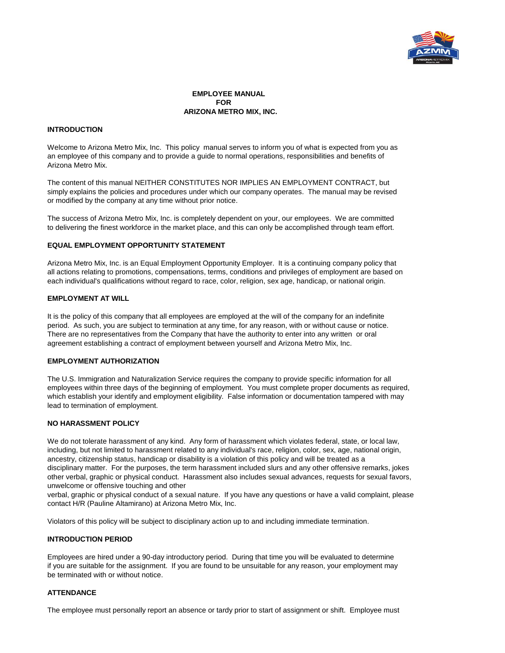

**EMPLOYEE MANUAL FOR ARIZONA METRO MIX, INC.**

### **INTRODUCTION**

Welcome to Arizona Metro Mix, Inc. This policy manual serves to inform you of what is expected from you as an employee of this company and to provide a guide to normal operations, responsibilities and benefits of Arizona Metro Mix.

The content of this manual NEITHER CONSTITUTES NOR IMPLIES AN EMPLOYMENT CONTRACT, but simply explains the policies and procedures under which our company operates. The manual may be revised or modified by the company at any time without prior notice.

The success of Arizona Metro Mix, Inc. is completely dependent on your, our employees. We are committed to delivering the finest workforce in the market place, and this can only be accomplished through team effort.

### **EQUAL EMPLOYMENT OPPORTUNITY STATEMENT**

Arizona Metro Mix, Inc. is an Equal Employment Opportunity Employer. It is a continuing company policy that all actions relating to promotions, compensations, terms, conditions and privileges of employment are based on each individual's qualifications without regard to race, color, religion, sex age, handicap, or national origin.

### **EMPLOYMENT AT WILL**

It is the policy of this company that all employees are employed at the will of the company for an indefinite period. As such, you are subject to termination at any time, for any reason, with or without cause or notice. There are no representatives from the Company that have the authority to enter into any written or oral agreement establishing a contract of employment between yourself and Arizona Metro Mix, Inc.

#### **EMPLOYMENT AUTHORIZATION**

The U.S. Immigration and Naturalization Service requires the company to provide specific information for all employees within three days of the beginning of employment. You must complete proper documents as required, which establish your identify and employment eligibility. False information or documentation tampered with may lead to termination of employment.

### **NO HARASSMENT POLICY**

We do not tolerate harassment of any kind. Any form of harassment which violates federal, state, or local law, including, but not limited to harassment related to any individual's race, religion, color, sex, age, national origin, ancestry, citizenship status, handicap or disability is a violation of this policy and will be treated as a disciplinary matter. For the purposes, the term harassment included slurs and any other offensive remarks, jokes other verbal, graphic or physical conduct. Harassment also includes sexual advances, requests for sexual favors, unwelcome or offensive touching and other

verbal, graphic or physical conduct of a sexual nature. If you have any questions or have a valid complaint, please contact H/R (Pauline Altamirano) at Arizona Metro Mix, Inc.

Violators of this policy will be subject to disciplinary action up to and including immediate termination.

#### **INTRODUCTION PERIOD**

Employees are hired under a 90-day introductory period. During that time you will be evaluated to determine if you are suitable for the assignment. If you are found to be unsuitable for any reason, your employment may be terminated with or without notice.

#### **ATTENDANCE**

The employee must personally report an absence or tardy prior to start of assignment or shift. Employee must